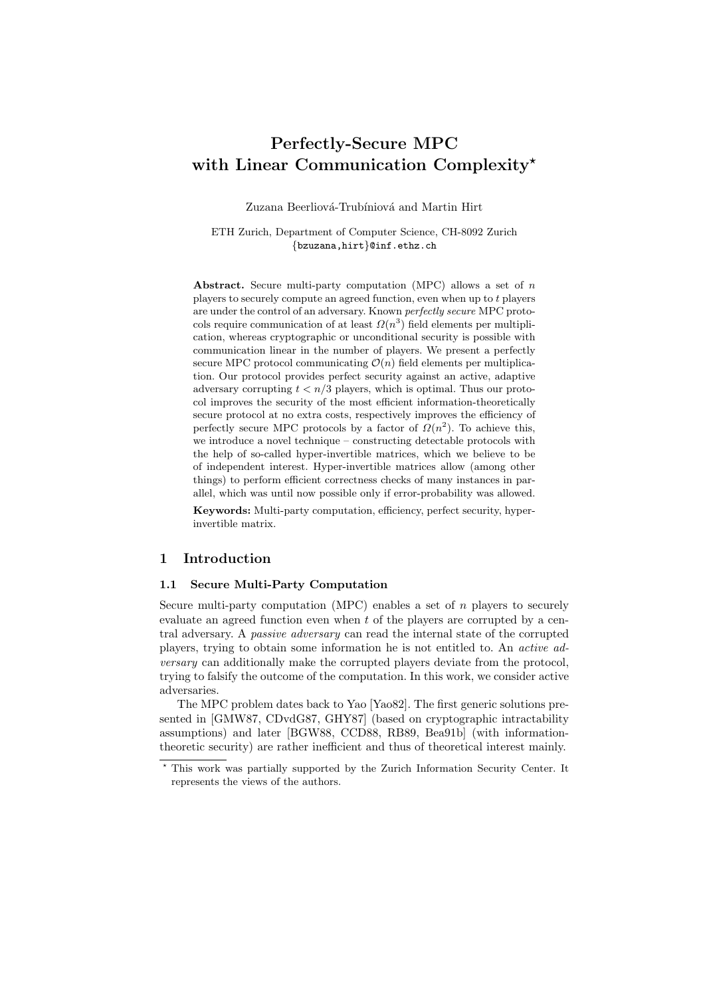# Perfectly-Secure MPC with Linear Communication Complexity\*

Zuzana Beerliová-Trubíniová and Martin Hirt

ETH Zurich, Department of Computer Science, CH-8092 Zurich {bzuzana,hirt}@inf.ethz.ch

Abstract. Secure multi-party computation (MPC) allows a set of  $n$ players to securely compute an agreed function, even when up to t players are under the control of an adversary. Known perfectly secure MPC protocols require communication of at least  $\Omega(n^3)$  field elements per multiplication, whereas cryptographic or unconditional security is possible with communication linear in the number of players. We present a perfectly secure MPC protocol communicating  $\mathcal{O}(n)$  field elements per multiplication. Our protocol provides perfect security against an active, adaptive adversary corrupting  $t < n/3$  players, which is optimal. Thus our protocol improves the security of the most efficient information-theoretically secure protocol at no extra costs, respectively improves the efficiency of perfectly secure MPC protocols by a factor of  $\Omega(n^2)$ . To achieve this, we introduce a novel technique – constructing detectable protocols with the help of so-called hyper-invertible matrices, which we believe to be of independent interest. Hyper-invertible matrices allow (among other things) to perform efficient correctness checks of many instances in parallel, which was until now possible only if error-probability was allowed.

Keywords: Multi-party computation, efficiency, perfect security, hyperinvertible matrix.

# 1 Introduction

### 1.1 Secure Multi-Party Computation

Secure multi-party computation (MPC) enables a set of  $n$  players to securely evaluate an agreed function even when  $t$  of the players are corrupted by a central adversary. A passive adversary can read the internal state of the corrupted players, trying to obtain some information he is not entitled to. An active adversary can additionally make the corrupted players deviate from the protocol, trying to falsify the outcome of the computation. In this work, we consider active adversaries.

The MPC problem dates back to Yao [Yao82]. The first generic solutions presented in [GMW87, CDvdG87, GHY87] (based on cryptographic intractability assumptions) and later [BGW88, CCD88, RB89, Bea91b] (with informationtheoretic security) are rather inefficient and thus of theoretical interest mainly.

<sup>?</sup> This work was partially supported by the Zurich Information Security Center. It represents the views of the authors.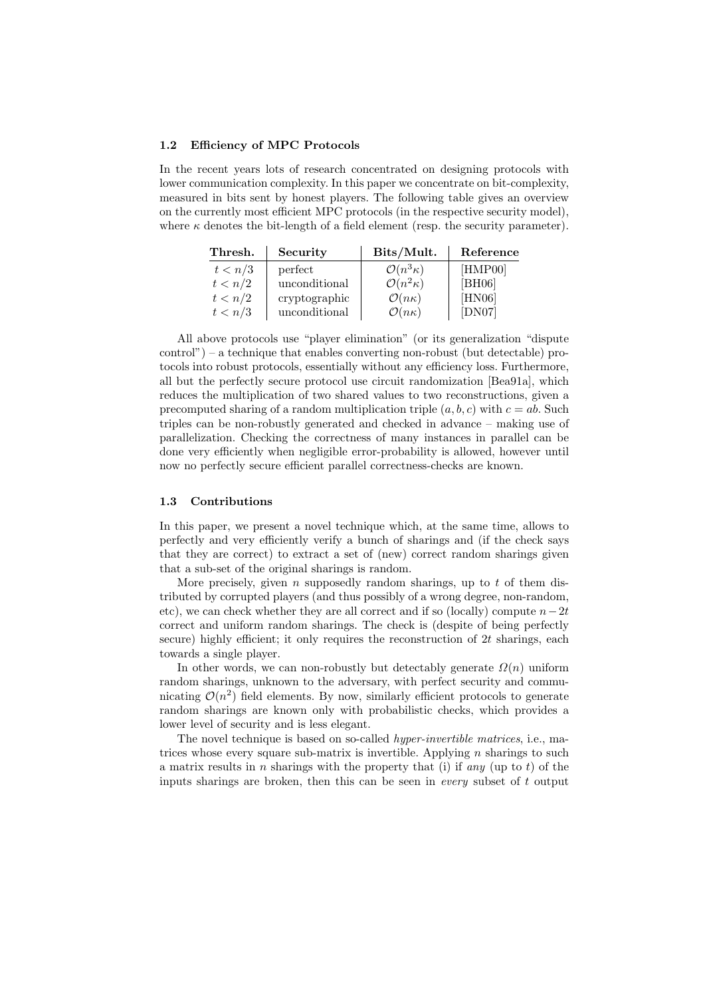#### 1.2 Efficiency of MPC Protocols

In the recent years lots of research concentrated on designing protocols with lower communication complexity. In this paper we concentrate on bit-complexity, measured in bits sent by honest players. The following table gives an overview on the currently most efficient MPC protocols (in the respective security model), where  $\kappa$  denotes the bit-length of a field element (resp. the security parameter).

| Thresh. | Security      | Bits/Mult.               | Reference |
|---------|---------------|--------------------------|-----------|
| t < n/3 | perfect       | $\mathcal{O}(n^3\kappa)$ | [HMP00]   |
| t < n/2 | unconditional | $\mathcal{O}(n^2\kappa)$ | [BH06]    |
| t < n/2 | cryptographic | $\mathcal{O}(n\kappa)$   | [HM06]    |
| t < n/3 | unconditional | $\mathcal{O}(n\kappa)$   | [DN07]    |

All above protocols use "player elimination" (or its generalization "dispute control") – a technique that enables converting non-robust (but detectable) protocols into robust protocols, essentially without any efficiency loss. Furthermore, all but the perfectly secure protocol use circuit randomization [Bea91a], which reduces the multiplication of two shared values to two reconstructions, given a precomputed sharing of a random multiplication triple  $(a, b, c)$  with  $c = ab$ . Such triples can be non-robustly generated and checked in advance – making use of parallelization. Checking the correctness of many instances in parallel can be done very efficiently when negligible error-probability is allowed, however until now no perfectly secure efficient parallel correctness-checks are known.

#### 1.3 Contributions

In this paper, we present a novel technique which, at the same time, allows to perfectly and very efficiently verify a bunch of sharings and (if the check says that they are correct) to extract a set of (new) correct random sharings given that a sub-set of the original sharings is random.

More precisely, given  $n$  supposedly random sharings, up to  $t$  of them distributed by corrupted players (and thus possibly of a wrong degree, non-random, etc), we can check whether they are all correct and if so (locally) compute  $n-2t$ correct and uniform random sharings. The check is (despite of being perfectly secure) highly efficient; it only requires the reconstruction of  $2t$  sharings, each towards a single player.

In other words, we can non-robustly but detectably generate  $\Omega(n)$  uniform random sharings, unknown to the adversary, with perfect security and communicating  $\mathcal{O}(n^2)$  field elements. By now, similarly efficient protocols to generate random sharings are known only with probabilistic checks, which provides a lower level of security and is less elegant.

The novel technique is based on so-called hyper-invertible matrices, i.e., matrices whose every square sub-matrix is invertible. Applying  $n$  sharings to such a matrix results in n sharings with the property that (i) if any (up to t) of the inputs sharings are broken, then this can be seen in *every* subset of  $t$  output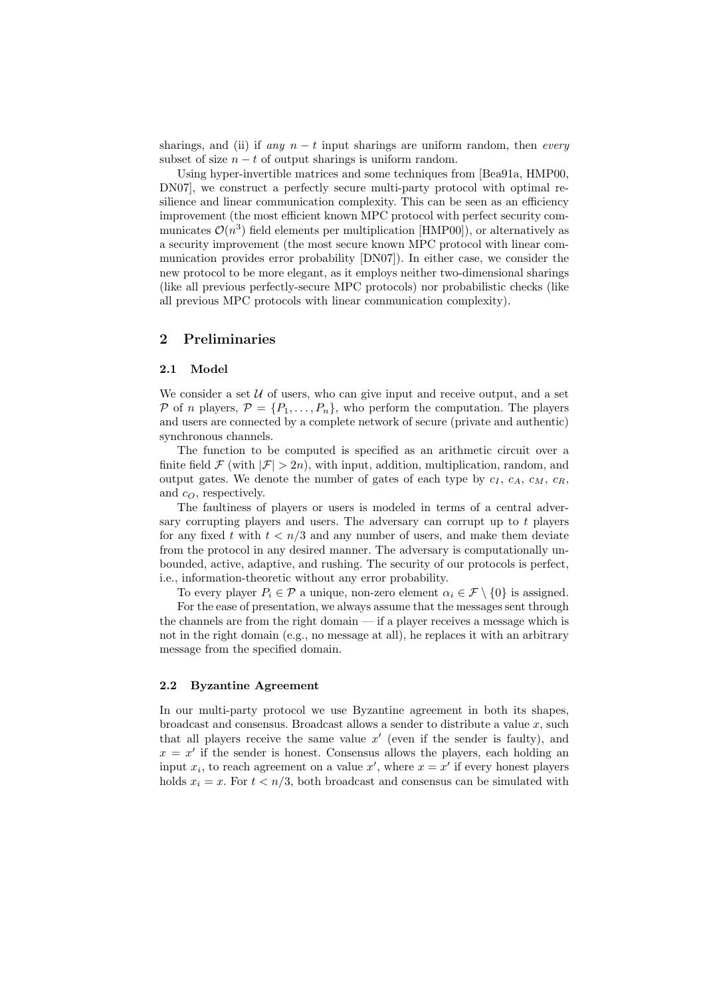sharings, and (ii) if any  $n - t$  input sharings are uniform random, then every subset of size  $n - t$  of output sharings is uniform random.

Using hyper-invertible matrices and some techniques from [Bea91a, HMP00, DN07], we construct a perfectly secure multi-party protocol with optimal resilience and linear communication complexity. This can be seen as an efficiency improvement (the most efficient known MPC protocol with perfect security communicates  $\mathcal{O}(n^3)$  field elements per multiplication [HMP00]), or alternatively as a security improvement (the most secure known MPC protocol with linear communication provides error probability [DN07]). In either case, we consider the new protocol to be more elegant, as it employs neither two-dimensional sharings (like all previous perfectly-secure MPC protocols) nor probabilistic checks (like all previous MPC protocols with linear communication complexity).

# 2 Preliminaries

#### 2.1 Model

We consider a set  $U$  of users, who can give input and receive output, and a set P of n players,  $\mathcal{P} = \{P_1, \ldots, P_n\}$ , who perform the computation. The players and users are connected by a complete network of secure (private and authentic) synchronous channels.

The function to be computed is specified as an arithmetic circuit over a finite field  $\mathcal F$  (with  $|\mathcal F| > 2n$ ), with input, addition, multiplication, random, and output gates. We denote the number of gates of each type by  $c_I$ ,  $c_A$ ,  $c_M$ ,  $c_R$ , and  $c_O$ , respectively.

The faultiness of players or users is modeled in terms of a central adversary corrupting players and users. The adversary can corrupt up to  $t$  players for any fixed t with  $t < n/3$  and any number of users, and make them deviate from the protocol in any desired manner. The adversary is computationally unbounded, active, adaptive, and rushing. The security of our protocols is perfect, i.e., information-theoretic without any error probability.

To every player  $P_i \in \mathcal{P}$  a unique, non-zero element  $\alpha_i \in \mathcal{F} \setminus \{0\}$  is assigned. For the ease of presentation, we always assume that the messages sent through the channels are from the right domain — if a player receives a message which is not in the right domain (e.g., no message at all), he replaces it with an arbitrary message from the specified domain.

#### 2.2 Byzantine Agreement

In our multi-party protocol we use Byzantine agreement in both its shapes, broadcast and consensus. Broadcast allows a sender to distribute a value  $x$ , such that all players receive the same value  $x'$  (even if the sender is faulty), and  $x = x'$  if the sender is honest. Consensus allows the players, each holding an input  $x_i$ , to reach agreement on a value  $x'$ , where  $x = x'$  if every honest players holds  $x_i = x$ . For  $t \leq n/3$ , both broadcast and consensus can be simulated with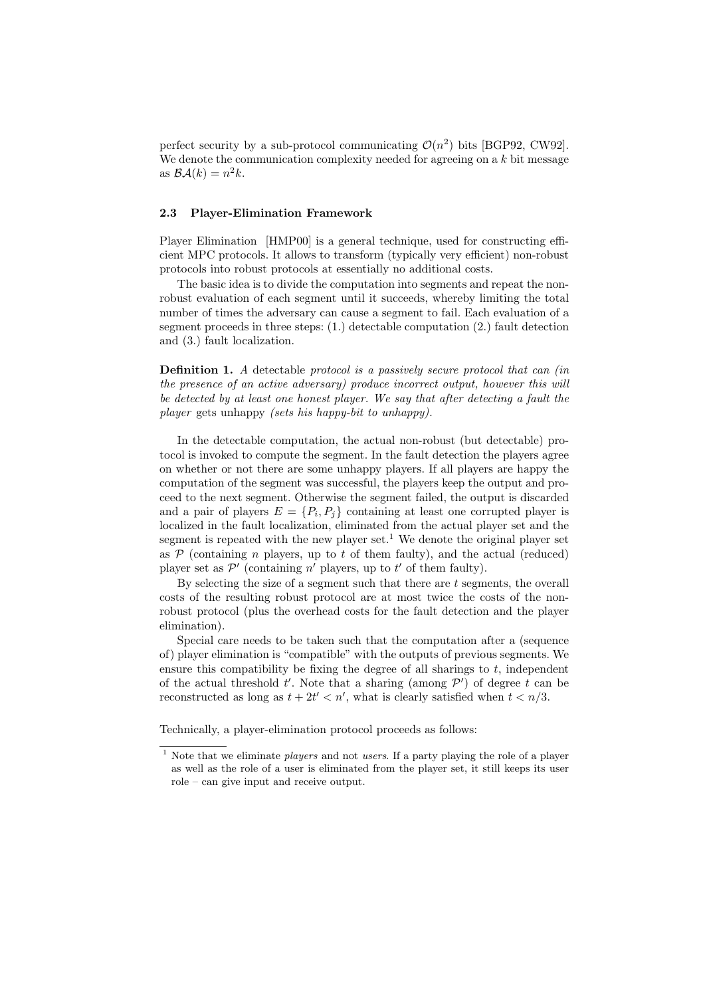perfect security by a sub-protocol communicating  $\mathcal{O}(n^2)$  bits [BGP92, CW92]. We denote the communication complexity needed for agreeing on a  $k$  bit message as  $\mathcal{BA}(k) = n^2k$ .

# 2.3 Player-Elimination Framework

Player Elimination [HMP00] is a general technique, used for constructing efficient MPC protocols. It allows to transform (typically very efficient) non-robust protocols into robust protocols at essentially no additional costs.

The basic idea is to divide the computation into segments and repeat the nonrobust evaluation of each segment until it succeeds, whereby limiting the total number of times the adversary can cause a segment to fail. Each evaluation of a segment proceeds in three steps: (1.) detectable computation (2.) fault detection and (3.) fault localization.

Definition 1. A detectable protocol is a passively secure protocol that can (in the presence of an active adversary) produce incorrect output, however this will be detected by at least one honest player. We say that after detecting a fault the player gets unhappy (sets his happy-bit to unhappy).

In the detectable computation, the actual non-robust (but detectable) protocol is invoked to compute the segment. In the fault detection the players agree on whether or not there are some unhappy players. If all players are happy the computation of the segment was successful, the players keep the output and proceed to the next segment. Otherwise the segment failed, the output is discarded and a pair of players  $E = \{P_i, P_j\}$  containing at least one corrupted player is localized in the fault localization, eliminated from the actual player set and the segment is repeated with the new player set.<sup>1</sup> We denote the original player set as  $P$  (containing *n* players, up to *t* of them faulty), and the actual (reduced) player set as  $\mathcal{P}'$  (containing n' players, up to t' of them faulty).

By selecting the size of a segment such that there are  $t$  segments, the overall costs of the resulting robust protocol are at most twice the costs of the nonrobust protocol (plus the overhead costs for the fault detection and the player elimination).

Special care needs to be taken such that the computation after a (sequence of) player elimination is "compatible" with the outputs of previous segments. We ensure this compatibility be fixing the degree of all sharings to  $t$ , independent of the actual threshold  $t'$ . Note that a sharing (among  $\mathcal{P}'$ ) of degree t can be reconstructed as long as  $t + 2t' < n'$ , what is clearly satisfied when  $t < n/3$ .

Technically, a player-elimination protocol proceeds as follows:

 $1$  Note that we eliminate *players* and not *users*. If a party playing the role of a player as well as the role of a user is eliminated from the player set, it still keeps its user role – can give input and receive output.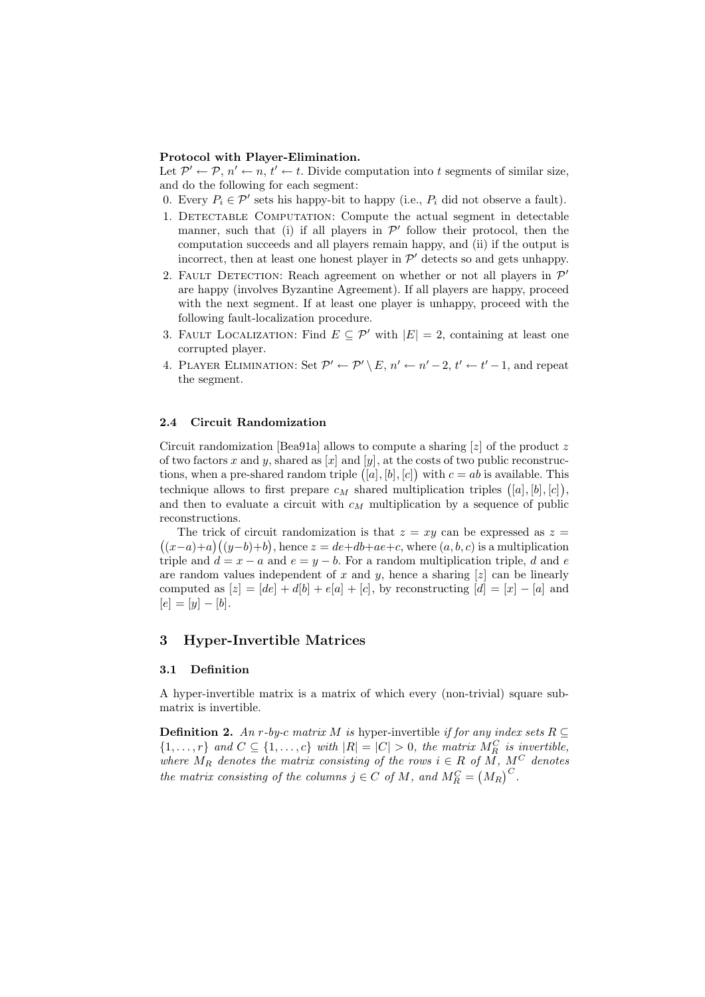#### Protocol with Player-Elimination.

Let  $\mathcal{P}' \leftarrow \mathcal{P}, n' \leftarrow n, t' \leftarrow t$ . Divide computation into t segments of similar size, and do the following for each segment:

0. Every  $P_i \in \mathcal{P}'$  sets his happy-bit to happy (i.e.,  $P_i$  did not observe a fault).

- 1. DETECTABLE COMPUTATION: Compute the actual segment in detectable manner, such that (i) if all players in  $\mathcal{P}'$  follow their protocol, then the computation succeeds and all players remain happy, and (ii) if the output is incorrect, then at least one honest player in  $\mathcal{P}'$  detects so and gets unhappy.
- 2. FAULT DETECTION: Reach agreement on whether or not all players in  $\mathcal{P}'$ are happy (involves Byzantine Agreement). If all players are happy, proceed with the next segment. If at least one player is unhappy, proceed with the following fault-localization procedure.
- 3. FAULT LOCALIZATION: Find  $E \subseteq \mathcal{P}'$  with  $|E| = 2$ , containing at least one corrupted player.
- 4. PLAYER ELIMINATION: Set  $\mathcal{P}' \leftarrow \mathcal{P}' \setminus E$ ,  $n' \leftarrow n' 2$ ,  $t' \leftarrow t' 1$ , and repeat the segment.

#### 2.4 Circuit Randomization

Circuit randomization [Bea91a] allows to compute a sharing  $[z]$  of the product z of two factors x and y, shared as  $[x]$  and  $[y]$ , at the costs of two public reconstructions, when a pre-shared random triple  $([a], [b], [c])$  with  $c = ab$  is available. This technique allows to first prepare  $c_M$  shared multiplication triples  $([a], [b], [c])$ , and then to evaluate a circuit with  $c_M$  multiplication by a sequence of public reconstructions.

The trick of circuit randomization is that  $z = xy$  can be expressed as  $z =$  $((x-a)+a)((y-b)+b)$ , hence  $z = de+db+ae+c$ , where  $(a, b, c)$  is a multiplication triple and  $d = x - a$  and  $e = y - b$ . For a random multiplication triple, d and e are random values independent of  $x$  and  $y$ , hence a sharing  $[z]$  can be linearly computed as  $[z] = [de] + d[b] + e[a] + [c]$ , by reconstructing  $[d] = [x] - [a]$  and  $[e] = [y] - [b].$ 

# 3 Hyper-Invertible Matrices

#### 3.1 Definition

A hyper-invertible matrix is a matrix of which every (non-trivial) square submatrix is invertible.

**Definition 2.** An r-by-c matrix M is hyper-invertible if for any index sets  $R \subseteq$  $\{1,\ldots,r\}$  and  $C \subseteq \{1,\ldots,c\}$  with  $|R| = |C| > 0$ , the matrix  $M_R^C$  is invertible, where  $M_R$  denotes the matrix consisting of the rows  $i \in R$  of  $M$ ,  $M^C$  denotes the matrix consisting of the columns  $j \in C$  of M, and  $M_R^C = (M_R)^C$ .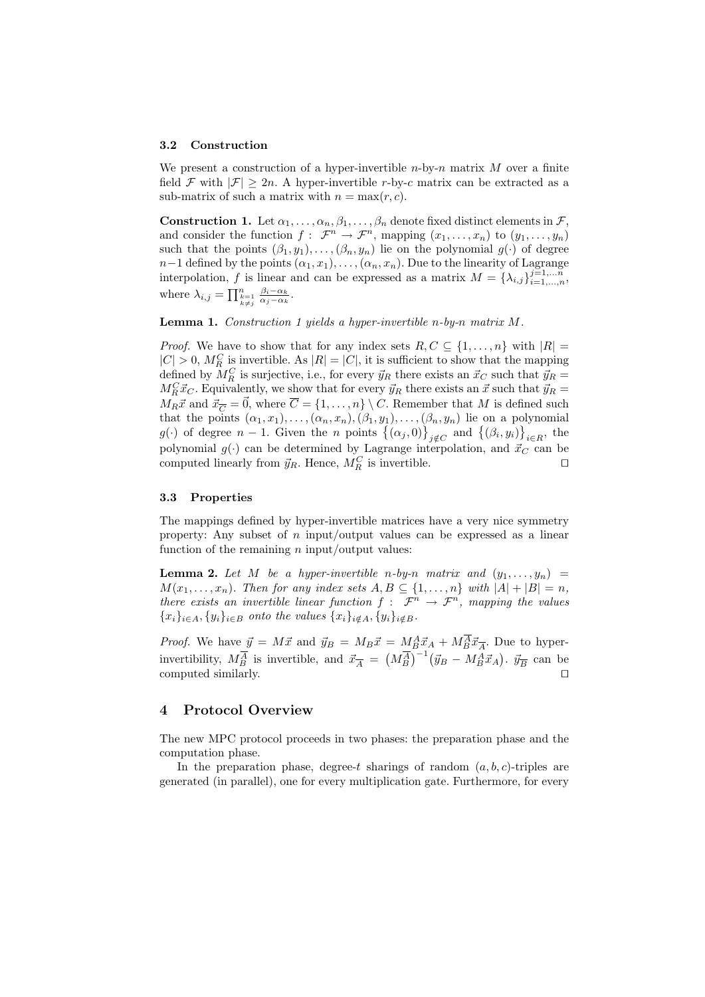#### 3.2 Construction

We present a construction of a hyper-invertible  $n$ -by- $n$  matrix  $M$  over a finite field F with  $|\mathcal{F}| \geq 2n$ . A hyper-invertible r-by-c matrix can be extracted as a sub-matrix of such a matrix with  $n = \max(r, c)$ .

**Construction 1.** Let  $\alpha_1, \ldots, \alpha_n, \beta_1, \ldots, \beta_n$  denote fixed distinct elements in  $\mathcal{F}$ , and consider the function  $f: \mathcal{F}^n \to \mathcal{F}^n$ , mapping  $(x_1, \ldots, x_n)$  to  $(y_1, \ldots, y_n)$ such that the points  $(\beta_1, y_1), \ldots, (\beta_n, y_n)$  lie on the polynomial  $g(\cdot)$  of degree  $n-1$  defined by the points  $(\alpha_1, x_1), \ldots, (\alpha_n, x_n)$ . Due to the linearity of Lagrange interpolation, f is linear and can be expressed as a matrix  $M = \{\lambda_{i,j}\}_{i=1,\ldots,n}^{j=1,\ldots n}$ where  $\lambda_{i,j} = \prod_{\substack{k=1 \ k \neq j}}^{n}$  $\frac{\beta_i-\alpha_k}{\alpha_j-\alpha_k}$ .

**Lemma 1.** Construction 1 yields a hyper-invertible n-by-n matrix  $M$ .

*Proof.* We have to show that for any index sets  $R, C \subseteq \{1, ..., n\}$  with  $|R| =$  $|C| > 0$ ,  $M_R^C$  is invertible. As  $|R| = |C|$ , it is sufficient to show that the mapping defined by  $M_R^C$  is surjective, i.e., for every  $\vec{y}_R$  there exists an  $\vec{x}_C$  such that  $\vec{y}_R =$  $M_R^C \vec{x}_C$ . Equivalently, we show that for every  $\vec{y}_R$  there exists an  $\vec{x}$  such that  $\vec{y}_R =$  $M_R\vec{x}$  and  $\vec{x}_{\overline{C}} = \vec{0}$ , where  $\overline{C} = \{1, \ldots, n\} \setminus C$ . Remember that M is defined such that the points  $(\alpha_1, x_1), \ldots, (\alpha_n, x_n), (\beta_1, y_1), \ldots, (\beta_n, y_n)$  lie on a polynomial g(.) of degree  $n-1$ . Given the n points  $\{(\alpha_j, 0)\}_{j \notin C}$  and  $\{(\beta_i, y_i)\}_{i \in R}$ , the polynomial  $g(\cdot)$  can be determined by Lagrange interpolation, and  $\vec{x}_C$  can be computed linearly from  $\vec{y}_R$ . Hence,  $M_R^C$  is invertible.

#### 3.3 Properties

The mappings defined by hyper-invertible matrices have a very nice symmetry property: Any subset of  $n$  input/output values can be expressed as a linear function of the remaining  $n$  input/output values:

**Lemma 2.** Let M be a hyper-invertible n-by-n matrix and  $(y_1, \ldots, y_n)$  =  $M(x_1, \ldots, x_n)$ . Then for any index sets  $A, B \subseteq \{1, \ldots, n\}$  with  $|A| + |B| = n$ , there exists an invertible linear function  $f: \mathcal{F}^n \to \mathcal{F}^n$ , mapping the values  ${x_i}_{i\in A}, {y_i}_{i\in B}$  onto the values  ${x_i}_{i\notin A}, {y_i}_{i\notin B}$ .

*Proof.* We have  $\vec{y} = M\vec{x}$  and  $\vec{y}_B = M_B\vec{x} = M_B^A\vec{x}_A + M_B^A\vec{x}_{\overline{A}}$ . Due to hyperinvertibility,  $M_B^{\overline{A}}$  is invertible, and  $\vec{x}_{\overline{A}} = (M_B^{\overline{A}})^{-1} (\vec{y}_B - M_B^A \vec{x}_A)$ .  $\vec{y}_{\overline{B}}$  can be computed similarly.  $\Box$ 

# 4 Protocol Overview

The new MPC protocol proceeds in two phases: the preparation phase and the computation phase.

In the preparation phase, degree-t sharings of random  $(a, b, c)$ -triples are generated (in parallel), one for every multiplication gate. Furthermore, for every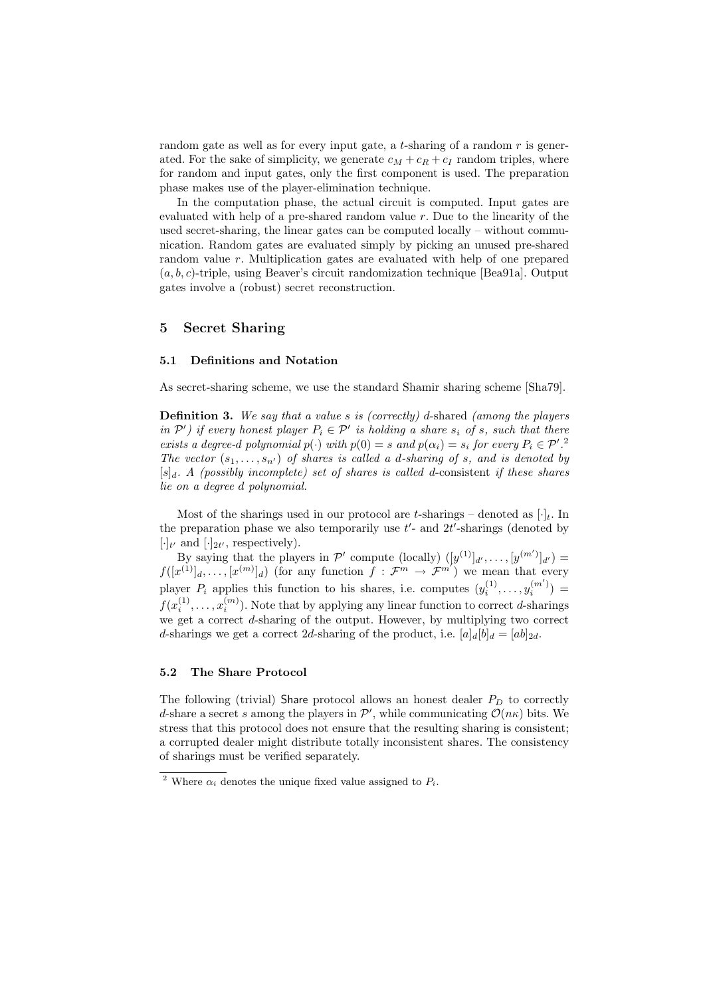random gate as well as for every input gate, a t-sharing of a random  $r$  is generated. For the sake of simplicity, we generate  $c_M + c_R + c_I$  random triples, where for random and input gates, only the first component is used. The preparation phase makes use of the player-elimination technique.

In the computation phase, the actual circuit is computed. Input gates are evaluated with help of a pre-shared random value  $r$ . Due to the linearity of the used secret-sharing, the linear gates can be computed locally – without communication. Random gates are evaluated simply by picking an unused pre-shared random value r. Multiplication gates are evaluated with help of one prepared  $(a, b, c)$ -triple, using Beaver's circuit randomization technique [Bea91a]. Output gates involve a (robust) secret reconstruction.

# 5 Secret Sharing

#### 5.1 Definitions and Notation

As secret-sharing scheme, we use the standard Shamir sharing scheme [Sha79].

Definition 3. We say that a value s is (correctly) d-shared (among the players in  $\mathcal{P}'$ ) if every honest player  $P_i \in \mathcal{P}'$  is holding a share  $s_i$  of s, such that there exists a degree-d polynomial  $p(\cdot)$  with  $p(0) = s$  and  $p(\alpha_i) = s_i$  for every  $P_i \in \mathcal{P}'$ . The vector  $(s_1, \ldots, s_{n'})$  of shares is called a d-sharing of s, and is denoted by  $[s]_d$ . A (possibly incomplete) set of shares is called d-consistent if these shares lie on a degree d polynomial.

Most of the sharings used in our protocol are t-sharings – denoted as  $[\cdot]_t$ . In the preparation phase we also temporarily use  $t'$ - and  $2t'$ -sharings (denoted by  $[\cdot]_{t'}$  and  $[\cdot]_{2t'}$ , respectively).

By saying that the players in P' compute (locally)  $([y^{(1)}]_{d'}, \ldots, [y^{(m')}]_{d'}) =$  $f([x^{(1)}]_d, \ldots, [x^{(m)}]_d)$  (for any function  $f : \mathcal{F}^m \to \mathcal{F}^{m'}$ ) we mean that every player  $P_i$  applies this function to his shares, i.e. computes  $(y_i^{(1)}, \ldots, y_i^{(m)}) =$  $f(x_i^{(1)}, \ldots, x_i^{(m)})$ . Note that by applying any linear function to correct d-sharings we get a correct  $d$ -sharing of the output. However, by multiplying two correct d-sharings we get a correct 2d-sharing of the product, i.e.  $[a]_d[b]_d = [ab]_{2d}$ .

#### 5.2 The Share Protocol

The following (trivial) Share protocol allows an honest dealer  $P_D$  to correctly d-share a secret s among the players in  $\mathcal{P}'$ , while communicating  $\mathcal{O}(n\kappa)$  bits. We stress that this protocol does not ensure that the resulting sharing is consistent; a corrupted dealer might distribute totally inconsistent shares. The consistency of sharings must be verified separately.

<sup>&</sup>lt;sup>2</sup> Where  $\alpha_i$  denotes the unique fixed value assigned to  $P_i$ .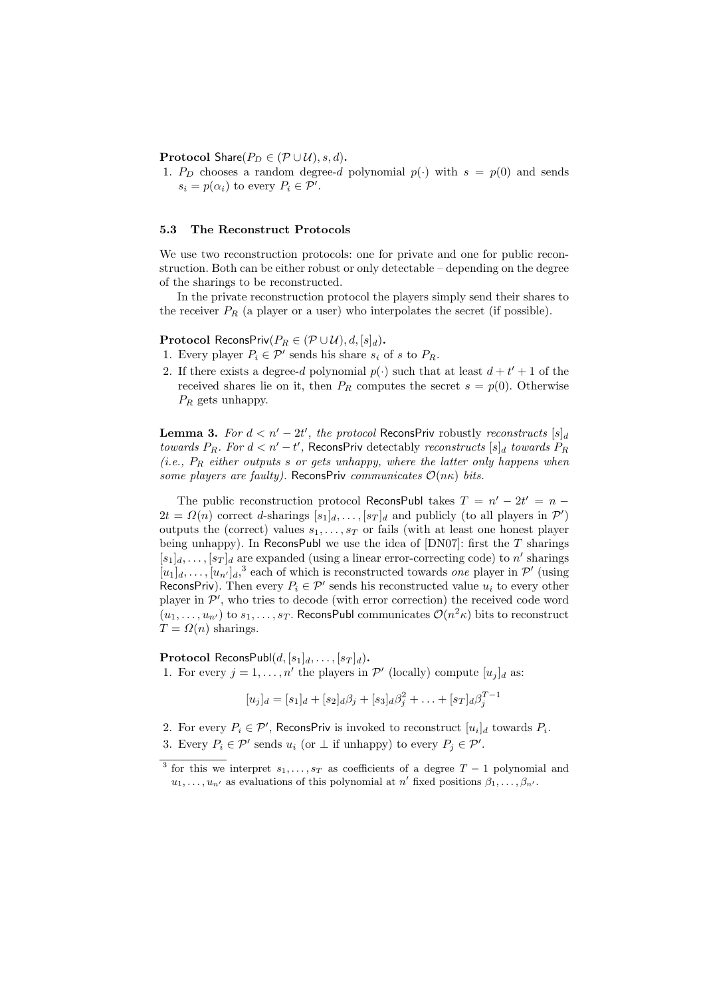Protocol Share( $P_D \in (\mathcal{P} \cup \mathcal{U}), s, d$ ).

1.  $P_D$  chooses a random degree-d polynomial  $p(\cdot)$  with  $s = p(0)$  and sends  $s_i = p(\alpha_i)$  to every  $P_i \in \mathcal{P}'$ .

#### 5.3 The Reconstruct Protocols

We use two reconstruction protocols: one for private and one for public reconstruction. Both can be either robust or only detectable – depending on the degree of the sharings to be reconstructed.

In the private reconstruction protocol the players simply send their shares to the receiver  $P_R$  (a player or a user) who interpolates the secret (if possible).

Protocol ReconsPriv $(P_R \in (\mathcal{P} \cup \mathcal{U}), d, [s]_d)$ .

- 1. Every player  $P_i \in \mathcal{P}'$  sends his share  $s_i$  of s to  $P_R$ .
- 2. If there exists a degree-d polynomial  $p(\cdot)$  such that at least  $d + t' + 1$  of the received shares lie on it, then  $P_R$  computes the secret  $s = p(0)$ . Otherwise  $P_R$  gets unhappy.

**Lemma 3.** For  $d < n' - 2t'$ , the protocol ReconsPriv robustly reconstructs  $[s]_d$ towards  $P_R$ . For  $d < n' - t'$ , ReconsPriv detectably reconstructs  $[s]_d$  towards  $P_R$ (*i.e.*,  $P_R$  either outputs s or gets unhappy, where the latter only happens when some players are faulty). ReconsPriv communicates  $\mathcal{O}(n\kappa)$  bits.

The public reconstruction protocol ReconsPubl takes  $T = n' - 2t' = n 2t = \Omega(n)$  correct d-sharings  $[s_1]_d, \ldots, [s_T]_d$  and publicly (to all players in  $\mathcal{P}'$ ) outputs the (correct) values  $s_1, \ldots, s_T$  or fails (with at least one honest player being unhappy). In ReconsPubl we use the idea of  $[DN07]$ : first the T sharings  $[s_1]_d, \ldots, [s_T]_d$  are expanded (using a linear error-correcting code) to n' sharings  $[u_1]_d, \ldots, [u_{n'}]_d$ <sup>3</sup> each of which is reconstructed towards one player in  $\mathcal{P}'$  (using ReconsPriv). Then every  $P_i \in \mathcal{P}'$  sends his reconstructed value  $u_i$  to every other player in  $\mathcal{P}'$ , who tries to decode (with error correction) the received code word  $(u_1,\ldots,u_{n'})$  to  $s_1,\ldots,s_T$ . ReconsPubl communicates  $\mathcal{O}(n^2\kappa)$  bits to reconstruct  $T = \Omega(n)$  sharings.

**Protocol** ReconsPubl $(d, [s_1]_d, \ldots, [s_T]_d)$ . 1. For every  $j = 1, ..., n'$  the players in  $\mathcal{P}'$  (locally) compute  $[u_j]_d$  as:

 $[u_j]_d = [s_1]_d + [s_2]_d \beta_j + [s_3]_d \beta_j^2 + \ldots + [s_T]_d \beta_j^{T-1}$ 

2. For every  $P_i \in \mathcal{P}'$ , ReconsPriv is invoked to reconstruct  $[u_i]_d$  towards  $P_i$ .

3. Every  $P_i \in \mathcal{P}'$  sends  $u_i$  (or  $\perp$  if unhappy) to every  $P_j \in \mathcal{P}'$ .

<sup>&</sup>lt;sup>3</sup> for this we interpret  $s_1, \ldots, s_T$  as coefficients of a degree  $T-1$  polynomial and  $u_1, \ldots, u_{n'}$  as evaluations of this polynomial at n' fixed positions  $\beta_1, \ldots, \beta_{n'}$ .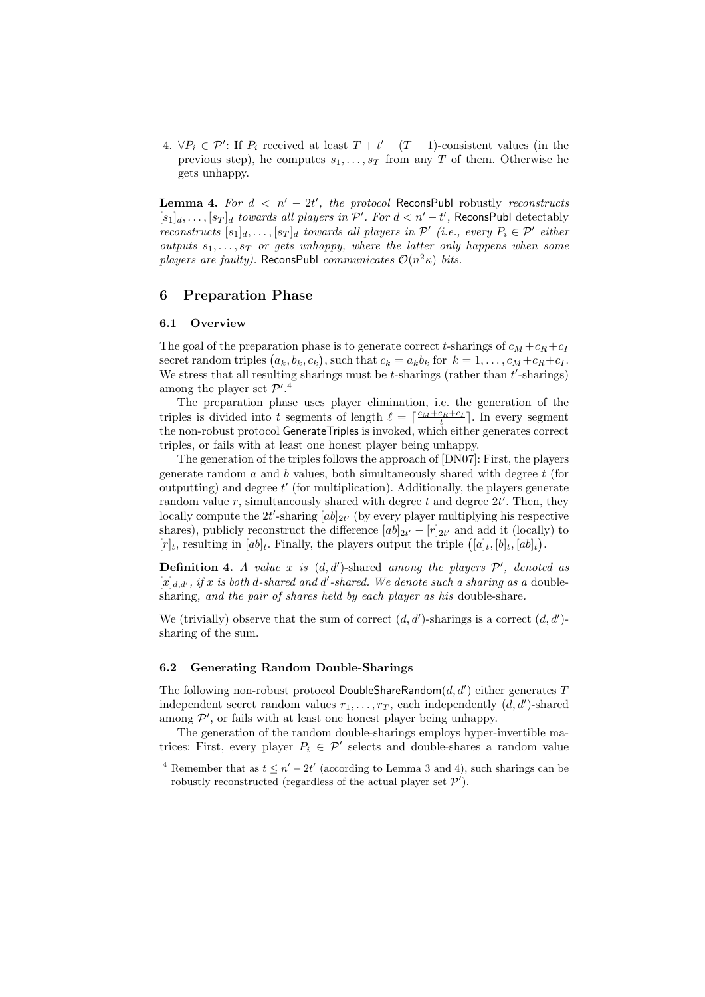4.  $\forall P_i \in \mathcal{P}'$ : If  $P_i$  received at least  $T + t'$   $(T - 1)$ -consistent values (in the previous step), he computes  $s_1, \ldots, s_T$  from any T of them. Otherwise he gets unhappy.

**Lemma 4.** For  $d < n' - 2t'$ , the protocol ReconsPubl robustly reconstructs  $[s_1]_d, \ldots, [s_T]_d$  towards all players in  $\mathcal{P}'$ . For  $d < n' - t'$ , ReconsPubl detectably reconstructs  $[s_1]_d, \ldots, [s_T]_d$  towards all players in  $\mathcal{P}'$  (i.e., every  $P_i \in \mathcal{P}'$  either outputs  $s_1, \ldots, s_T$  or gets unhappy, where the latter only happens when some players are faulty). ReconsPubl communicates  $\mathcal{O}(n^2\kappa)$  bits.

# 6 Preparation Phase

#### 6.1 Overview

The goal of the preparation phase is to generate correct t-sharings of  $c_M + c_R + c_I$ secret random triples  $(a_k, b_k, c_k)$ , such that  $c_k = a_k b_k$  for  $k = 1, \ldots, c_M + c_R + c_I$ . We stress that all resulting sharings must be  $t$ -sharings (rather than  $t'$ -sharings) among the player set  $\mathcal{P}^{\prime}$ .<sup>4</sup>

The preparation phase uses player elimination, i.e. the generation of the triples is divided into t segments of length  $\ell = \lceil \frac{c_M + c_R + c_I}{t} \rceil$ . In every segment the non-robust protocol GenerateTriples is invoked, which either generates correct triples, or fails with at least one honest player being unhappy.

The generation of the triples follows the approach of [DN07]: First, the players generate random  $a$  and  $b$  values, both simultaneously shared with degree  $t$  (for outputting) and degree  $t'$  (for multiplication). Additionally, the players generate random value  $r$ , simultaneously shared with degree  $t$  and degree  $2t'$ . Then, they locally compute the  $2t'$ -sharing  $[ab]_{2t'}$  (by every player multiplying his respective shares), publicly reconstruct the difference  $[ab]_{2t'} - [r]_{2t'}$  and add it (locally) to  $[r]_t$ , resulting in  $[ab]_t$ . Finally, the players output the triple  $([a]_t, [b]_t, [ab]_t)$ .

**Definition 4.** A value x is  $(d, d')$ -shared among the players  $\mathcal{P}'$ , denoted as  $[x]_{d,d'}$ , if x is both d-shared and d'-shared. We denote such a sharing as a doublesharing, and the pair of shares held by each player as his double-share.

We (trivially) observe that the sum of correct  $(d, d')$ -sharings is a correct  $(d, d')$ sharing of the sum.

#### 6.2 Generating Random Double-Sharings

The following non-robust protocol DoubleShareRandom $(d, d')$  either generates  $T$ independent secret random values  $r_1, \ldots, r_T$ , each independently  $(d, d')$ -shared among  $\mathcal{P}'$ , or fails with at least one honest player being unhappy.

The generation of the random double-sharings employs hyper-invertible matrices: First, every player  $P_i \in \mathcal{P}'$  selects and double-shares a random value

<sup>&</sup>lt;sup>4</sup> Remember that as  $t \leq n' - 2t'$  (according to Lemma 3 and 4), such sharings can be robustly reconstructed (regardless of the actual player set  $\mathcal{P}'$ ).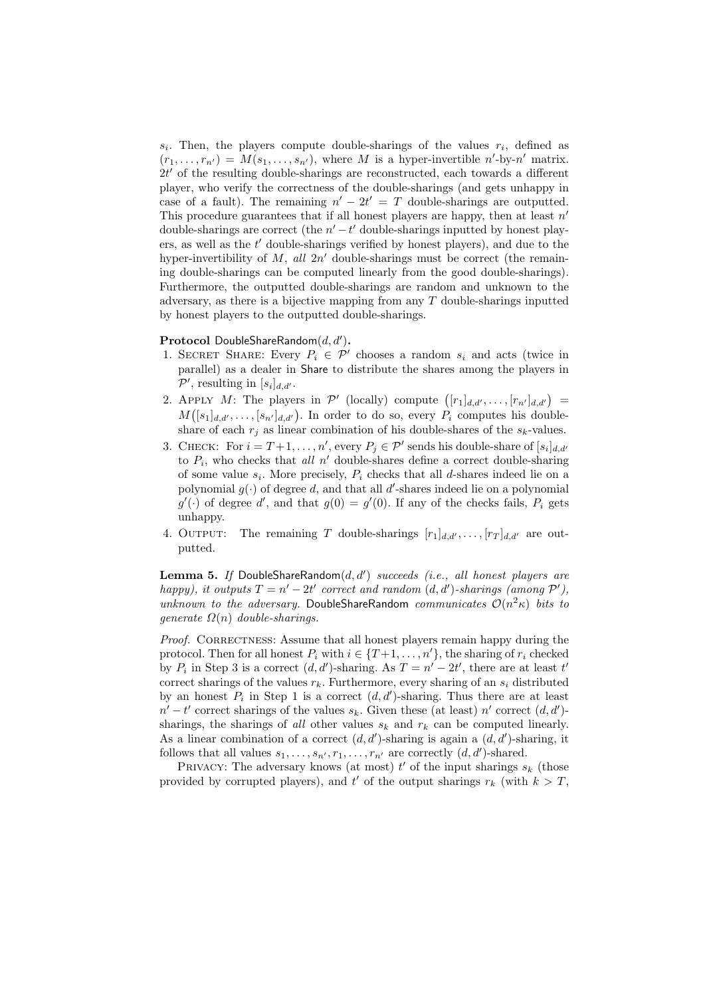$s_i$ . Then, the players compute double-sharings of the values  $r_i$ , defined as  $(r_1, \ldots, r_{n'}) = M(s_1, \ldots, s_{n'})$ , where M is a hyper-invertible  $n'$ -by- $n'$  matrix. 2t' of the resulting double-sharings are reconstructed, each towards a different player, who verify the correctness of the double-sharings (and gets unhappy in case of a fault). The remaining  $n' - 2t' = T$  double-sharings are outputted. This procedure guarantees that if all honest players are happy, then at least  $n'$ double-sharings are correct (the  $n'-t'$  double-sharings inputted by honest players, as well as the  $t'$  double-sharings verified by honest players), and due to the hyper-invertibility of  $M$ , all  $2n'$  double-sharings must be correct (the remaining double-sharings can be computed linearly from the good double-sharings). Furthermore, the outputted double-sharings are random and unknown to the adversary, as there is a bijective mapping from any  $T$  double-sharings inputted by honest players to the outputted double-sharings.

# Protocol DoubleShareRandom $(d, d')$ .

- 1. SECRET SHARE: Every  $P_i \in \mathcal{P}'$  chooses a random  $s_i$  and acts (twice in parallel) as a dealer in Share to distribute the shares among the players in  $\mathcal{P}'$ , resulting in  $[s_i]_{d,d'}$ .
- 2. APPLY M: The players in  $\mathcal{P}'$  (locally) compute  $([r_1]_{d,d'}, \ldots, [r_{n'}]_{d,d'}) =$  $M([s_1]_{d,d'}, \ldots, [s_{n'}]_{d,d'})$ . In order to do so, every  $P_i$  computes his doubleshare of each  $r_i$  as linear combination of his double-shares of the  $s_k$ -values.
- 3. CHECK: For  $i = T + 1, ..., n'$ , every  $P_j \in \mathcal{P}'$  sends his double-share of  $[s_i]_{d,d'}$ to  $P_i$ , who checks that all  $n'$  double-shares define a correct double-sharing of some value  $s_i$ . More precisely,  $P_i$  checks that all d-shares indeed lie on a polynomial  $g(\cdot)$  of degree d, and that all d'-shares indeed lie on a polynomial  $g'(\cdot)$  of degree d', and that  $g(0) = g'(0)$ . If any of the checks fails,  $P_i$  gets unhappy.
- 4. OUTPUT: The remaining T double-sharings  $[r_1]_{d,d'}, \ldots, [r_T]_{d,d'}$  are outputted.

**Lemma 5.** If DoubleShareRandom $(d, d')$  succeeds (i.e., all honest players are happy), it outputs  $T = n' - 2t'$  correct and random  $(d, d')$ -sharings (among  $\mathcal{P}'$ ), unknown to the adversary. DoubleShareRandom communicates  $\mathcal{O}(n^2 \kappa)$  bits to qenerate  $\Omega(n)$  double-sharings.

Proof. CORRECTNESS: Assume that all honest players remain happy during the protocol. Then for all honest  $P_i$  with  $i \in \{T+1, \ldots, n'\}$ , the sharing of  $r_i$  checked by  $P_i$  in Step 3 is a correct  $(d, d')$ -sharing. As  $T = n' - 2t'$ , there are at least  $t'$ correct sharings of the values  $r_k$ . Furthermore, every sharing of an  $s_i$  distributed by an honest  $P_i$  in Step 1 is a correct  $(d, d')$ -sharing. Thus there are at least  $n'-t'$  correct sharings of the values  $s_k$ . Given these (at least) n' correct  $(d, d')$ sharings, the sharings of all other values  $s_k$  and  $r_k$  can be computed linearly. As a linear combination of a correct  $(d, d')$ -sharing is again a  $(d, d')$ -sharing, it follows that all values  $s_1, \ldots, s_{n'}$ ,  $r_1, \ldots, r_{n'}$  are correctly  $(d, d')$ -shared.

PRIVACY: The adversary knows (at most)  $t'$  of the input sharings  $s_k$  (those provided by corrupted players), and  $t'$  of the output sharings  $r_k$  (with  $k > T$ ,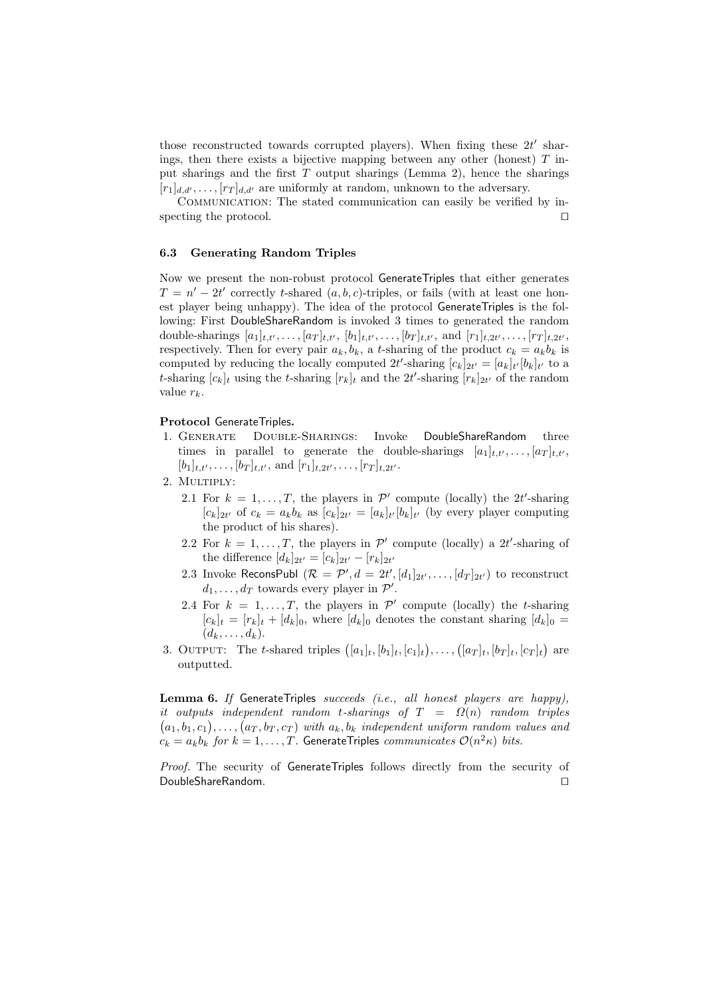those reconstructed towards corrupted players). When fixing these  $2t'$  sharings, then there exists a bijective mapping between any other (honest)  $T$  input sharings and the first  $T$  output sharings (Lemma 2), hence the sharings  $[r_1]_{d,d'}, \ldots, [r_T]_{d,d'}$  are uniformly at random, unknown to the adversary.

Communication: The stated communication can easily be verified by inspecting the protocol.  $\Box$ 

#### 6.3 Generating Random Triples

Now we present the non-robust protocol GenerateTriples that either generates  $T = n' - 2t'$  correctly t-shared  $(a, b, c)$ -triples, or fails (with at least one honest player being unhappy). The idea of the protocol GenerateTriples is the following: First DoubleShareRandom is invoked 3 times to generated the random double-sharings  $[a_1]_{t,t'}, \ldots, [a_T]_{t,t'}$ ,  $[b_1]_{t,t'}, \ldots, [b_T]_{t,t'}$ , and  $[r_1]_{t,2t'}, \ldots, [r_T]_{t,2t'}$ , respectively. Then for every pair  $a_k, b_k$ , a t-sharing of the product  $c_k = a_k b_k$  is computed by reducing the locally computed  $2t'$ -sharing  $[c_k]_{2t'} = [a_k]_{t'} [b_k]_{t'}$  to a t-sharing  $[c_k]_t$  using the t-sharing  $[r_k]_t$  and the 2t'-sharing  $[r_k]_{2t'}$  of the random value  $r_k$ .

#### Protocol GenerateTriples.

- 1. Generate Double-Sharings: Invoke DoubleShareRandom three times in parallel to generate the double-sharings  $[a_1]_{t,t'}, \ldots, [a_T]_{t,t'}$ ,  $[b_1]_{t,t'}, \ldots, [b_T]_{t,t'},$  and  $[r_1]_{t,2t'}, \ldots, [r_T]_{t,2t'}$ .
- 2. MULTIPLY:
	- 2.1 For  $k = 1, ..., T$ , the players in P' compute (locally) the 2t'-sharing  $[c_k]_{2t'}$  of  $c_k = a_k b_k$  as  $[c_k]_{2t'} = [a_k]_{t'} [b_k]_{t'}$  (by every player computing the product of his shares).
	- 2.2 For  $k = 1, \ldots, T$ , the players in  $\mathcal{P}'$  compute (locally) a 2t'-sharing of the difference  $[d_k]_{2t'} = [c_k]_{2t'} - [r_k]_{2t'}$
	- 2.3 Invoke ReconsPubl  $(R = \mathcal{P}', d = 2t', [d_1]_{2t'}, \ldots, [d_T]_{2t'})$  to reconstruct  $d_1, \ldots, d_T$  towards every player in  $\mathcal{P}'$ .
	- 2.4 For  $k = 1, ..., T$ , the players in  $\mathcal{P}'$  compute (locally) the *t*-sharing  $[c_k]_t = [r_k]_t + [d_k]_0$ , where  $[d_k]_0$  denotes the constant sharing  $[d_k]_0 =$  $(d_k, \ldots, d_k).$
- 3. OUTPUT: The *t*-shared triples  $([a_1]_t, [b_1]_t, [c_1]_t), \ldots, ([a_T]_t, [b_T]_t, [c_T]_t)$  are outputted.

Lemma 6. If GenerateTriples succeeds (i.e., all honest players are happy), it outputs independent random t-sharings of  $T = \Omega(n)$  random triples  $(a_1, b_1, c_1), \ldots, (a_T, b_T, c_T)$  with  $a_k, b_k$  independent uniform random values and  $c_k=a_kb_k$  for  $k=1,\ldots,T.$  GenerateTriples  $communicates$   $\mathcal{O}(n^2\kappa)$  bits.

Proof. The security of GenerateTriples follows directly from the security of DoubleShareRandom. ut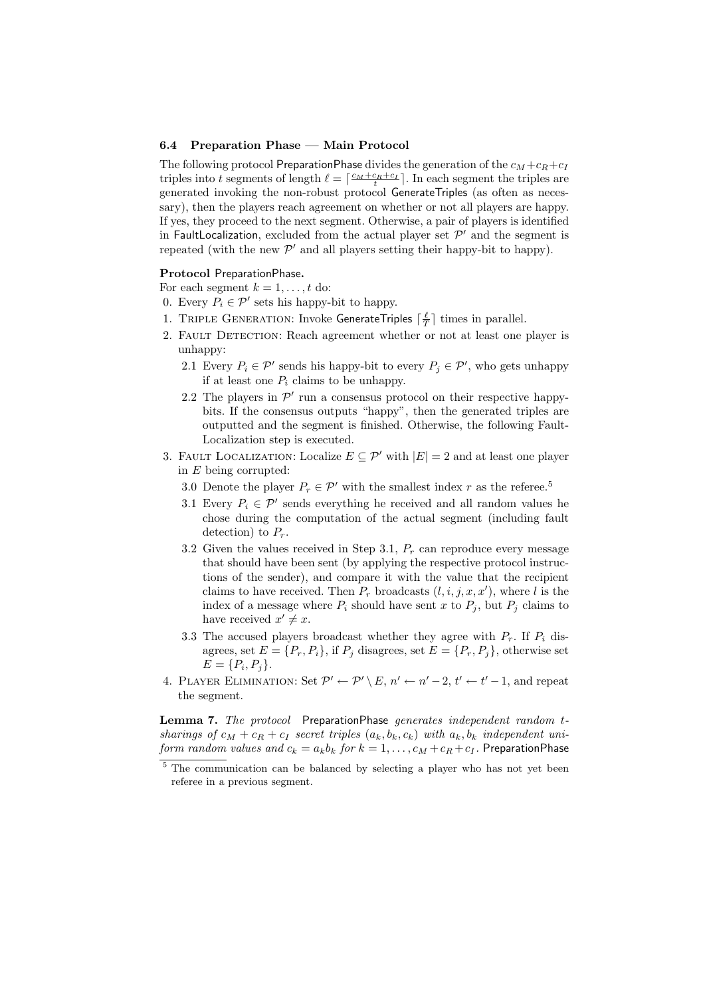#### 6.4 Preparation Phase — Main Protocol

The following protocol PreparationPhase divides the generation of the  $c_M + c_R + c_I$ triples into t segments of length  $\ell = \lceil \frac{c_M+c_R+c_I}{t} \rceil$ . In each segment the triples are generated invoking the non-robust protocol GenerateTriples (as often as necessary), then the players reach agreement on whether or not all players are happy. If yes, they proceed to the next segment. Otherwise, a pair of players is identified in FaultLocalization, excluded from the actual player set  $\mathcal{P}'$  and the segment is repeated (with the new  $\mathcal{P}'$  and all players setting their happy-bit to happy).

#### Protocol PreparationPhase.

For each segment  $k = 1, \ldots, t$  do:

- 0. Every  $P_i \in \mathcal{P}'$  sets his happy-bit to happy.
- 1. TRIPLE GENERATION: Invoke GenerateTriples  $\lceil\frac{\ell}{T}\rceil$  times in parallel.
- 2. FAULT DETECTION: Reach agreement whether or not at least one player is unhappy:
	- 2.1 Every  $P_i \in \mathcal{P}'$  sends his happy-bit to every  $P_j \in \mathcal{P}'$ , who gets unhappy if at least one  $P_i$  claims to be unhappy.
	- 2.2 The players in  $\mathcal{P}'$  run a consensus protocol on their respective happybits. If the consensus outputs "happy", then the generated triples are outputted and the segment is finished. Otherwise, the following Fault-Localization step is executed.
- 3. FAULT LOCALIZATION: Localize  $E \subseteq \mathcal{P}'$  with  $|E| = 2$  and at least one player in E being corrupted:
	- 3.0 Denote the player  $P_r \in \mathcal{P}'$  with the smallest index r as the referee.<sup>5</sup>
	- 3.1 Every  $P_i \in \mathcal{P}'$  sends everything he received and all random values he chose during the computation of the actual segment (including fault detection) to  $P_r$ .
	- 3.2 Given the values received in Step 3.1,  $P_r$  can reproduce every message that should have been sent (by applying the respective protocol instructions of the sender), and compare it with the value that the recipient claims to have received. Then  $P_r$  broadcasts  $(l, i, j, x, x')$ , where l is the index of a message where  $P_i$  should have sent x to  $P_j$ , but  $P_j$  claims to have received  $x' \neq x$ .
	- 3.3 The accused players broadcast whether they agree with  $P_r$ . If  $P_i$  disagrees, set  $E = \{P_r, P_i\}$ , if  $P_j$  disagrees, set  $E = \{P_r, P_j\}$ , otherwise set  $E = \{P_i, P_j\}.$
- 4. PLAYER ELIMINATION: Set  $\mathcal{P}' \leftarrow \mathcal{P}' \setminus E$ ,  $n' \leftarrow n' 2$ ,  $t' \leftarrow t' 1$ , and repeat the segment.

Lemma 7. The protocol PreparationPhase generates independent random tsharings of  $c_M + c_R + c_I$  secret triples  $(a_k, b_k, c_k)$  with  $a_k, b_k$  independent uniform random values and  $c_k = a_k b_k$  for  $k = 1, ..., c_M + c_R + c_I$ . PreparationPhase

<sup>5</sup> The communication can be balanced by selecting a player who has not yet been referee in a previous segment.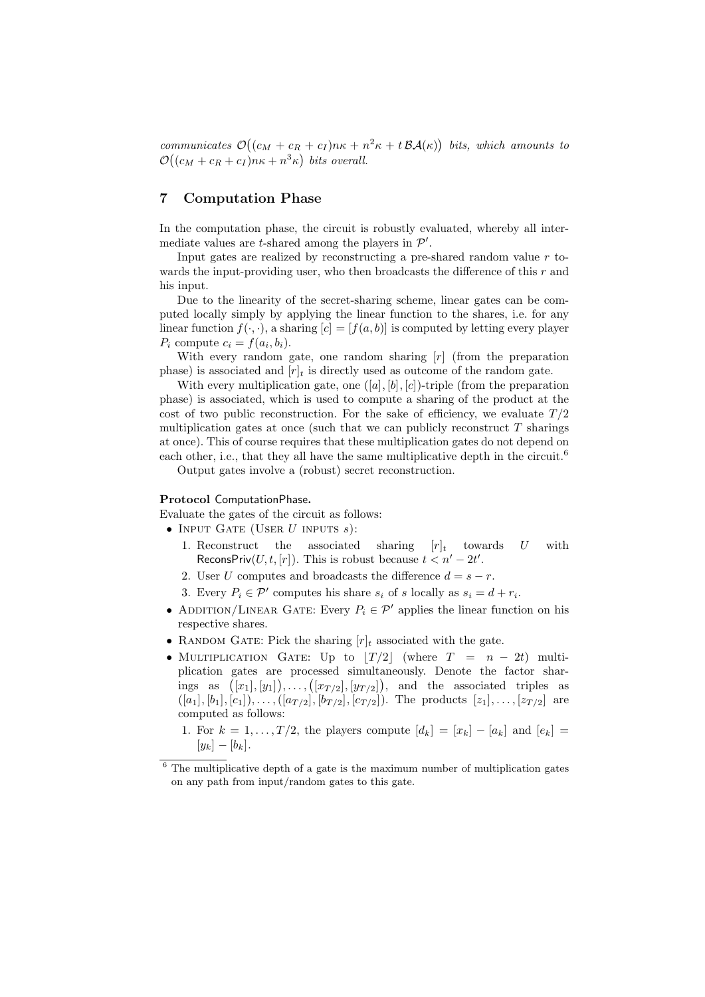communicates  $\mathcal{O}((c_M + c_R + c_I)n\kappa + n^2\kappa + t\mathcal{BA}(\kappa))$  bits, which amounts to  $\mathcal{O}((c_M + c_R + c_I)n\kappa + n^3\kappa)$  bits overall.

# 7 Computation Phase

In the computation phase, the circuit is robustly evaluated, whereby all intermediate values are *t*-shared among the players in  $\mathcal{P}'$ .

Input gates are realized by reconstructing a pre-shared random value  $r$  towards the input-providing user, who then broadcasts the difference of this  $r$  and his input.

Due to the linearity of the secret-sharing scheme, linear gates can be computed locally simply by applying the linear function to the shares, i.e. for any linear function  $f(\cdot, \cdot)$ , a sharing  $[c] = [f(a, b)]$  is computed by letting every player  $P_i$  compute  $c_i = f(a_i, b_i)$ .

With every random gate, one random sharing  $[r]$  (from the preparation phase) is associated and  $[r]_t$  is directly used as outcome of the random gate.

With every multiplication gate, one  $([a], [b], [c])$ -triple (from the preparation phase) is associated, which is used to compute a sharing of the product at the cost of two public reconstruction. For the sake of efficiency, we evaluate  $T/2$ multiplication gates at once (such that we can publicly reconstruct  $T$  sharings at once). This of course requires that these multiplication gates do not depend on each other, i.e., that they all have the same multiplicative depth in the circuit.<sup>6</sup>

Output gates involve a (robust) secret reconstruction.

### Protocol ComputationPhase.

Evaluate the gates of the circuit as follows:

• INPUT GATE (USER  $U$  INPUTS  $s$ ):

- 1. Reconstruct the associated sharing  $[r]_t$  towards U with ReconsPriv $(U, t, [r])$ . This is robust because  $t < n' - 2t'$ .
- 2. User U computes and broadcasts the difference  $d = s r$ .
- 3. Every  $P_i \in \mathcal{P}'$  computes his share  $s_i$  of s locally as  $s_i = d + r_i$ .
- ADDITION/LINEAR GATE: Every  $P_i \in \mathcal{P}'$  applies the linear function on his respective shares.
- RANDOM GATE: Pick the sharing  $[r]_t$  associated with the gate.
- MULTIPLICATION GATE: Up to  $|T/2|$  (where  $T = n 2t$ ) multiplication gates are processed simultaneously. Denote the factor sharings as  $([x_1],[y_1]),\ldots,([x_{T/2}],[y_{T/2}]),$  and the associated triples as  $([a_1], [b_1], [c_1]), \ldots, ([a_{T/2}], [b_{T/2}], [c_{T/2}])$ . The products  $[z_1], \ldots, [z_{T/2}]$  are computed as follows:

1. For  $k = 1, \ldots, T/2$ , the players compute  $[d_k] = [x_k] - [a_k]$  and  $[e_k] =$  $[y_k] - [b_k]$ .

The multiplicative depth of a gate is the maximum number of multiplication gates on any path from input/random gates to this gate.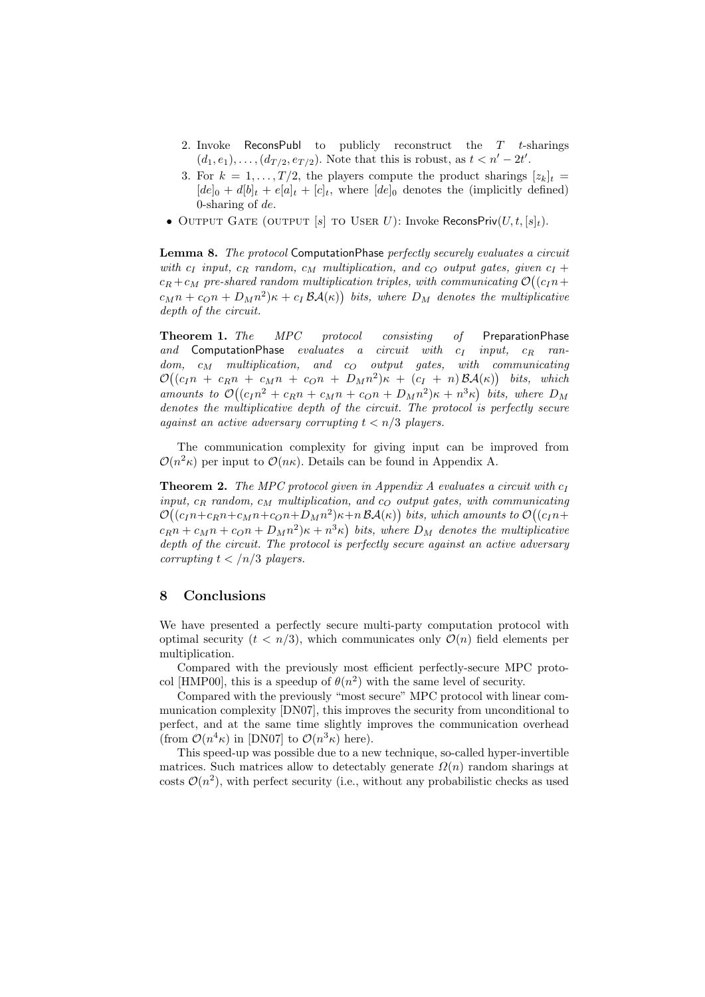- 2. Invoke ReconsPubl to publicly reconstruct the  $T$  t-sharings  $(d_1, e_1), \ldots, (d_{T/2}, e_{T/2})$ . Note that this is robust, as  $t < n' - 2t'$ .
- 3. For  $k = 1, ..., T/2$ , the players compute the product sharings  $[z_k]_t =$  $[de]_0 + d[b]_t + e[a]_t + [c]_t$ , where  $[de]_0$  denotes the (implicitly defined) 0-sharing of  $de$ .
- OUTPUT GATE (OUTPUT [s] TO USER U): Invoke ReconsPriv $(U, t, [s]_t)$ .

Lemma 8. The protocol ComputationPhase perfectly securely evaluates a circuit with  $c_I$  input,  $c_R$  random,  $c_M$  multiplication, and  $c_O$  output gates, given  $c_I$  +  $c_R + c_M$  pre-shared random multiplication triples, with communicating  $\mathcal{O}((c_Im +$  $c_M n + c_O n + D_M n^2) \kappa + c_I \mathcal{B}A(\kappa)$  bits, where  $D_M$  denotes the multiplicative depth of the circuit.

Theorem 1. The MPC protocol consisting of PreparationPhase and ComputationPhase evaluates a circuit with  $c_I$  input,  $c_R$  ran- $\emph{dom}, \quad c_M \quad \emph{multiplication}, \quad \emph{and} \quad c_O \quad \emph{output} \quad \emph{gates}, \quad \emph{with} \quad \emph{community}$  $\mathcal{O}((c_Im + c_Rn + c_Mn + c_On + D_Mn^2)\kappa + (c_I + n)\mathcal{BA}(\kappa))$  bits, which amounts to  $\mathcal{O}((c_1n^2 + c_Rn + c_Mn + c_0n + D_Mn^2)\kappa + n^3\kappa)$  bits, where  $D_M$ denotes the multiplicative depth of the circuit. The protocol is perfectly secure against an active adversary corrupting  $t < n/3$  players.

The communication complexity for giving input can be improved from  $\mathcal{O}(n^2\kappa)$  per input to  $\mathcal{O}(n\kappa)$ . Details can be found in Appendix A.

**Theorem 2.** The MPC protocol given in Appendix A evaluates a circuit with  $c_I$ input,  $c_R$  random,  $c_M$  multiplication, and  $c_Q$  output gates, with communicating  $\mathcal{O}\big((c_Im+c_Rn+c_Mn+c_On+D_Mn^2)\kappa+n\,\mathcal{BA}(\kappa)\big)$  bits, which amounts to  $\mathcal{O}\big((c_Im+$  $c_R n + c_M n + c_O n + D_M n^2 \kappa + n^3 \kappa$  bits, where  $D_M$  denotes the multiplicative depth of the circuit. The protocol is perfectly secure against an active adversary corrupting  $t < \sqrt{n/3}$  players.

# 8 Conclusions

We have presented a perfectly secure multi-party computation protocol with optimal security  $(t < n/3)$ , which communicates only  $\mathcal{O}(n)$  field elements per multiplication.

Compared with the previously most efficient perfectly-secure MPC protocol [HMP00], this is a speedup of  $\theta(n^2)$  with the same level of security.

Compared with the previously "most secure" MPC protocol with linear communication complexity [DN07], this improves the security from unconditional to perfect, and at the same time slightly improves the communication overhead (from  $\mathcal{O}(n^4\kappa)$  in [DN07] to  $\mathcal{O}(n^3\kappa)$  here).

This speed-up was possible due to a new technique, so-called hyper-invertible matrices. Such matrices allow to detectably generate  $\Omega(n)$  random sharings at costs  $\mathcal{O}(n^2)$ , with perfect security (i.e., without any probabilistic checks as used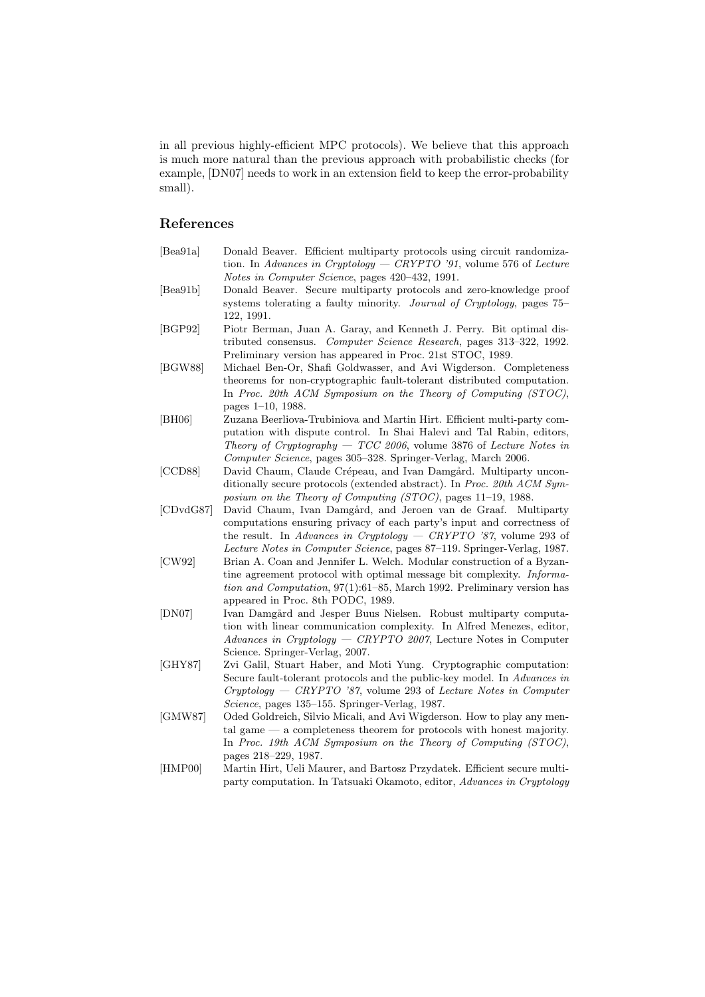in all previous highly-efficient MPC protocols). We believe that this approach is much more natural than the previous approach with probabilistic checks (for example, [DN07] needs to work in an extension field to keep the error-probability small).

# References

- [Bea91a] Donald Beaver. Efficient multiparty protocols using circuit randomization. In Advances in Cryptology  $-$  CRYPTO '91, volume 576 of Lecture Notes in Computer Science, pages 420–432, 1991. [Bea91b] Donald Beaver. Secure multiparty protocols and zero-knowledge proof systems tolerating a faulty minority. Journal of Cryptology, pages 75– 122, 1991. [BGP92] Piotr Berman, Juan A. Garay, and Kenneth J. Perry. Bit optimal distributed consensus. Computer Science Research, pages 313–322, 1992. Preliminary version has appeared in Proc. 21st STOC, 1989. [BGW88] Michael Ben-Or, Shafi Goldwasser, and Avi Wigderson. Completeness theorems for non-cryptographic fault-tolerant distributed computation. In Proc. 20th ACM Symposium on the Theory of Computing (STOC), pages 1–10, 1988.
- [BH06] Zuzana Beerliova-Trubiniova and Martin Hirt. Efficient multi-party computation with dispute control. In Shai Halevi and Tal Rabin, editors, Theory of Cryptography — TCC 2006, volume 3876 of Lecture Notes in Computer Science, pages 305–328. Springer-Verlag, March 2006.
- [CCD88] David Chaum, Claude Crépeau, and Ivan Damgård. Multiparty unconditionally secure protocols (extended abstract). In Proc. 20th ACM Symposium on the Theory of Computing (STOC), pages 11–19, 1988.
- [CDvdG87] David Chaum, Ivan Damgård, and Jeroen van de Graaf. Multiparty computations ensuring privacy of each party's input and correctness of the result. In Advances in Cryptology — CRYPTO '87, volume 293 of Lecture Notes in Computer Science, pages 87–119. Springer-Verlag, 1987.
- [CW92] Brian A. Coan and Jennifer L. Welch. Modular construction of a Byzantine agreement protocol with optimal message bit complexity. Information and Computation, 97(1):61–85, March 1992. Preliminary version has appeared in Proc. 8th PODC, 1989.
- [DN07] Ivan Damgård and Jesper Buus Nielsen. Robust multiparty computation with linear communication complexity. In Alfred Menezes, editor, Advances in Cryptology — CRYPTO 2007, Lecture Notes in Computer Science. Springer-Verlag, 2007.
- [GHY87] Zvi Galil, Stuart Haber, and Moti Yung. Cryptographic computation: Secure fault-tolerant protocols and the public-key model. In Advances in  $Cryptology - CRYPTO$  '87, volume 293 of Lecture Notes in Computer Science, pages 135–155. Springer-Verlag, 1987.
- [GMW87] Oded Goldreich, Silvio Micali, and Avi Wigderson. How to play any mental game — a completeness theorem for protocols with honest majority. In Proc. 19th ACM Symposium on the Theory of Computing (STOC), pages 218–229, 1987.
- [HMP00] Martin Hirt, Ueli Maurer, and Bartosz Przydatek. Efficient secure multiparty computation. In Tatsuaki Okamoto, editor, Advances in Cryptology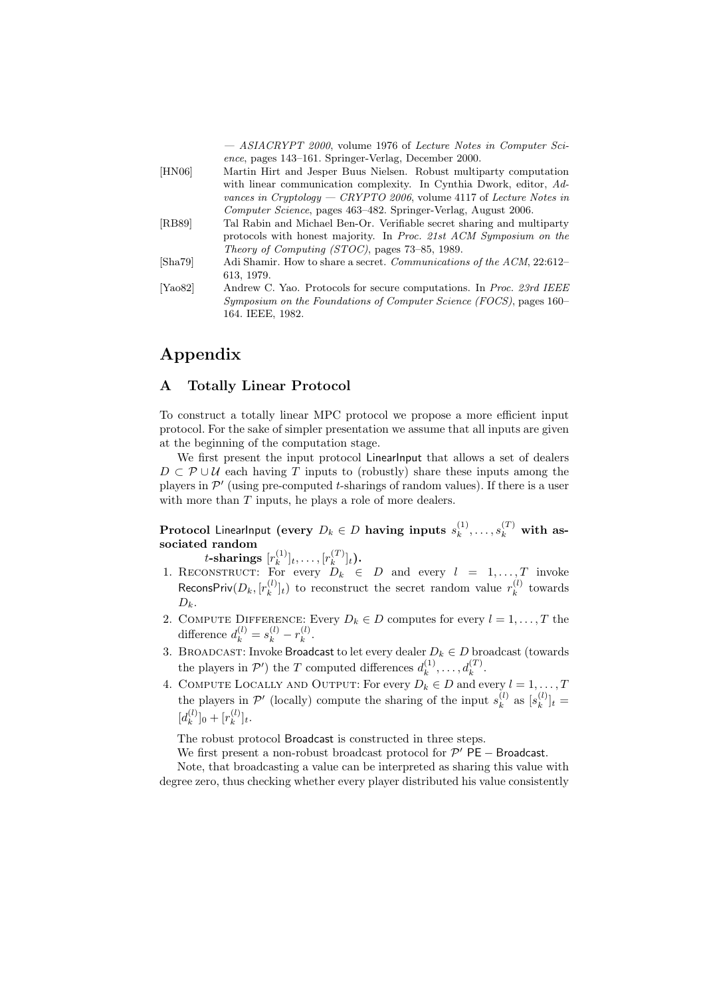— ASIACRYPT 2000, volume 1976 of Lecture Notes in Computer Science, pages 143–161. Springer-Verlag, December 2000.

| [HM06]               | Martin Hirt and Jesper Buus Nielsen. Robust multiparty computation     |
|----------------------|------------------------------------------------------------------------|
|                      | with linear communication complexity. In Cynthia Dwork, editor, Ad-    |
|                      | vances in Cryptology – CRYPTO 2006, volume 4117 of Lecture Notes in    |
|                      | <i>Computer Science</i> , pages 463–482. Springer-Verlag, August 2006. |
| [RB89]               | Tal Rabin and Michael Ben-Or. Verifiable secret sharing and multiparty |
|                      | protocols with honest majority. In Proc. 21st ACM Symposium on the     |
|                      | Theory of Computing (STOC), pages 73–85, 1989.                         |
| [Sha79]              | Adi Shamir. How to share a secret. Communications of the ACM, 22:612-  |
|                      | 613, 1979.                                                             |
| [Ya <sub>0</sub> 82] | Andrew C. Yao. Protocols for secure computations. In Proc. 23rd IEEE   |
|                      | Symposium on the Foundations of Computer Science (FOCS), pages 160–    |
|                      | 164. IEEE, 1982.                                                       |

# Appendix

# A Totally Linear Protocol

To construct a totally linear MPC protocol we propose a more efficient input protocol. For the sake of simpler presentation we assume that all inputs are given at the beginning of the computation stage.

We first present the input protocol LinearInput that allows a set of dealers  $D \subset \mathcal{P} \cup \mathcal{U}$  each having T inputs to (robustly) share these inputs among the players in  $\mathcal{P}'$  (using pre-computed t-sharings of random values). If there is a user with more than  $T$  inputs, he plays a role of more dealers.

 $\textbf{Protocol LinearInput}$  (every  $D_k \in D$  having inputs  $s_k^{(1)}$  $s_k^{(1)},\ldots,s_k^{(T)}$  with associated random

t-sharings  $[r_k^{(1)}]$  $[x_k^{(1)}]_t, \ldots, [r_k^{(T)}]$  $\binom{(1)}{k}$ 

- 1. RECONSTRUCT: For every  $D_k \in D$  and every  $l = 1, ..., T$  invoke ReconsPriv $(D_k, [r_k^{(l)}]$  $\binom{l}{k}_{k}$  to reconstruct the secret random value  $r_k^{(l)}$  $k^{(t)}$  towards  $D_k$ .
- 2. COMPUTE DIFFERENCE: Every  $D_k \in D$  computes for every  $l = 1, \ldots, T$  the difference  $d_k^{(l)} = s_k^{(l)} - r_k^{(l)}$  $\frac{u}{k}$ .
- 3. BROADCAST: Invoke Broadcast to let every dealer  $D_k \in D$  broadcast (towards the players in  $\mathcal{P}'$  the T computed differences  $d_k^{(1)}$  $d_k^{(1)}, \ldots, d_k^{(T)}.$
- 4. COMPUTE LOCALLY AND OUTPUT: For every  $D_k \in D$  and every  $l = 1, ..., T$ the players in  $\mathcal{P}'$  (locally) compute the sharing of the input  $s_k^{(l)}$  $s_k^{(l)}$  as  $[s_k^{(l)}]$  $\binom{u}{k}_{t}$  =  $[d_k^{(l)}]$  $[k^{(l)}]_0 + [r_k^{(l)}]$  $\binom{u}{k}$ <sub>t</sub>.

The robust protocol Broadcast is constructed in three steps.

We first present a non-robust broadcast protocol for  $\mathcal{P}'$  PE – Broadcast.

Note, that broadcasting a value can be interpreted as sharing this value with degree zero, thus checking whether every player distributed his value consistently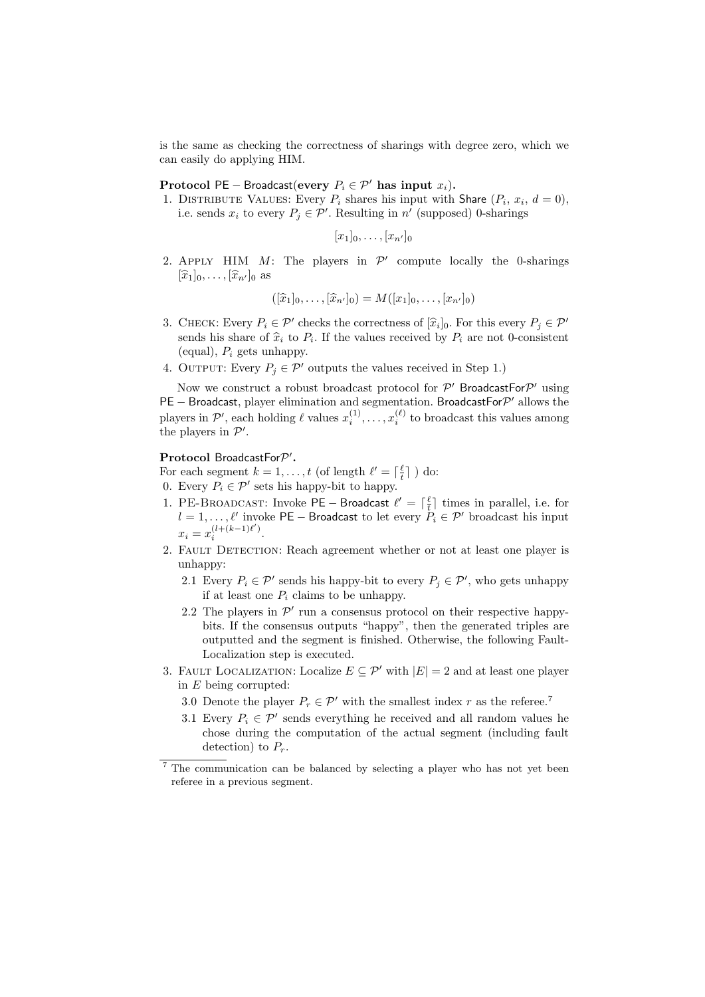is the same as checking the correctness of sharings with degree zero, which we can easily do applying HIM.

Protocol PE – Broadcast(every  $P_i \in \mathcal{P}'$  has input  $x_i$ ).

1. DISTRIBUTE VALUES: Every  $P_i$  shares his input with Share  $(P_i, x_i, d = 0)$ , i.e. sends  $x_i$  to every  $P_j \in \mathcal{P}'$ . Resulting in n' (supposed) 0-sharings

 $[x_1]_0, \ldots, [x_{n'}]_0$ 

2. APPLY HIM  $M$ : The players in  $\mathcal{P}'$  compute locally the 0-sharings  $[\widehat{x}_1]_0, \ldots, [\widehat{x}_{n'}]_0$  as

$$
([\widehat{x}_1]_0, \ldots, [\widehat{x}_{n'}]_0) = M([x_1]_0, \ldots, [x_{n'}]_0)
$$

- 3. CHECK: Every  $P_i \in \mathcal{P}'$  checks the correctness of  $[\hat{x}_i]_0$ . For this every  $P_j \in \mathcal{P}'$ <br>sonds his share of  $\hat{x}_i$ , to  $P_i$ . If the values received by  $P_i$  are not 0 consistent sends his share of  $\hat{x}_i$  to  $P_i$ . If the values received by  $P_i$  are not 0-consistent (equal).  $P_i$  are unhappy (equal),  $P_i$  gets unhappy.
- 4. OUTPUT: Every  $P_i \in \mathcal{P}'$  outputs the values received in Step 1.)

Now we construct a robust broadcast protocol for  $\mathcal{P}'$  BroadcastFor $\mathcal{P}'$  using  $PE$  – Broadcast, player elimination and segmentation. BroadcastFor $\mathcal{P}'$  allows the players in  $\mathcal{P}'$ , each holding  $\ell$  values  $x_i^{(1)}, \ldots, x_i^{(\ell)}$  to broadcast this values among the players in  $\mathcal{P}'$ .

# $\mathbf{Protocol}$  BroadcastFor $\mathcal{P}'$ .

For each segment  $k = 1, ..., t$  (of length  $\ell' = \lceil \frac{\ell}{t} \rceil$ ) do:

- 0. Every  $P_i \in \mathcal{P}'$  sets his happy-bit to happy.
- 1. PE-BROADCAST: Invoke PE Broadcast  $\ell' = \lceil \frac{\ell}{t} \rceil$  times in parallel, i.e. for  $l = 1, \ldots, l'$  invoke PE – Broadcast to let every  $P_i \in \mathcal{P}'$  broadcast his input  $x_i = x_i^{(l + (k-1)\ell')}$ .
- 2. FAULT DETECTION: Reach agreement whether or not at least one player is unhappy:
	- 2.1 Every  $P_i \in \mathcal{P}'$  sends his happy-bit to every  $P_j \in \mathcal{P}'$ , who gets unhappy if at least one  $P_i$  claims to be unhappy.
	- 2.2 The players in  $\mathcal{P}'$  run a consensus protocol on their respective happybits. If the consensus outputs "happy", then the generated triples are outputted and the segment is finished. Otherwise, the following Fault-Localization step is executed.
- 3. FAULT LOCALIZATION: Localize  $E \subseteq \mathcal{P}'$  with  $|E| = 2$  and at least one player in E being corrupted:
	- 3.0 Denote the player  $P_r \in \mathcal{P}'$  with the smallest index r as the referee.<sup>7</sup>
	- 3.1 Every  $P_i \in \mathcal{P}'$  sends everything he received and all random values he chose during the computation of the actual segment (including fault detection) to  $P_r$ .

<sup>7</sup> The communication can be balanced by selecting a player who has not yet been referee in a previous segment.